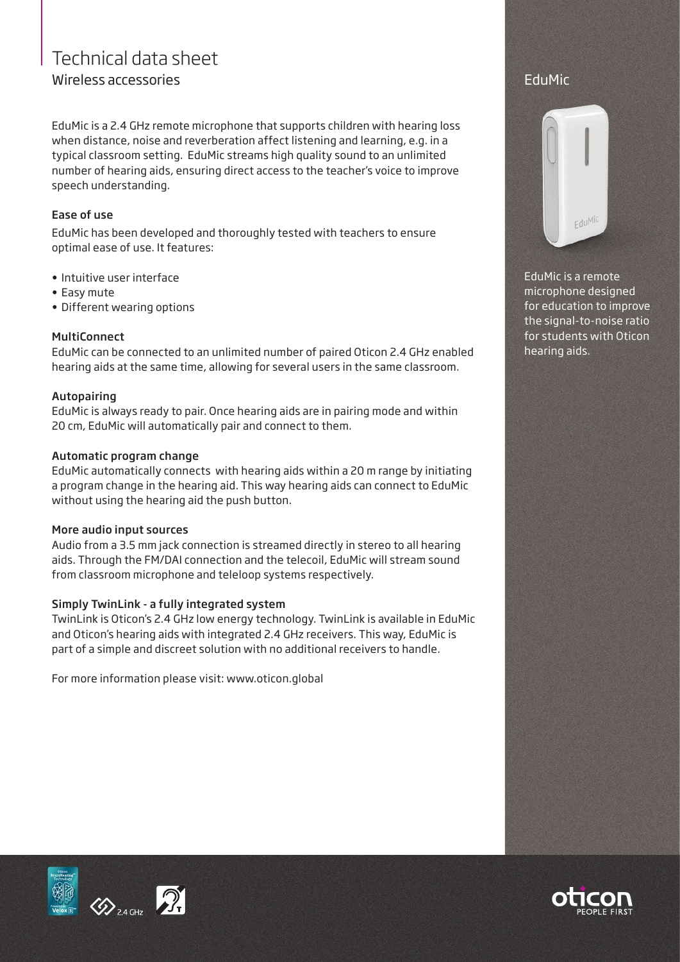# Technical data sheet Wireless accessories

EduMic is a 2.4 GHz remote microphone that supports children with hearing loss when distance, noise and reverberation affect listening and learning, e.g. in a typical classroom setting. EduMic streams high quality sound to an unlimited number of hearing aids, ensuring direct access to the teacher's voice to improve speech understanding.

## Ease of use

EduMic has been developed and thoroughly tested with teachers to ensure optimal ease of use. It features:

- Intuitive user interface
- Easy mute
- Different wearing options

# **MultiConnect**

EduMic can be connected to an unlimited number of paired Oticon 2.4 GHz enabled hearing aids at the same time, allowing for several users in the same classroom.

### Autopairing

EduMic is always ready to pair. Once hearing aids are in pairing mode and within 20 cm, EduMic will automatically pair and connect to them.

### Automatic program change

EduMic automatically connects with hearing aids within a 20 m range by initiating a program change in the hearing aid. This way hearing aids can connect to EduMic without using the hearing aid the push button.

#### More audio input sources

Audio from a 3.5 mm jack connection is streamed directly in stereo to all hearing aids. Through the FM/DAI connection and the telecoil, EduMic will stream sound from classroom microphone and teleloop systems respectively.

#### Simply TwinLink - a fully integrated system

TwinLink is Oticon's 2.4 GHz low energy technology. TwinLink is available in EduMic and Oticon's hearing aids with integrated 2.4 GHz receivers. This way, EduMic is part of a simple and discreet solution with no additional receivers to handle.

For more information please visit: www.oticon.global

# EduMic



EduMic is a remote microphone designed for education to improve the signal-to-noise ratio for students with Oticon hearing aids.